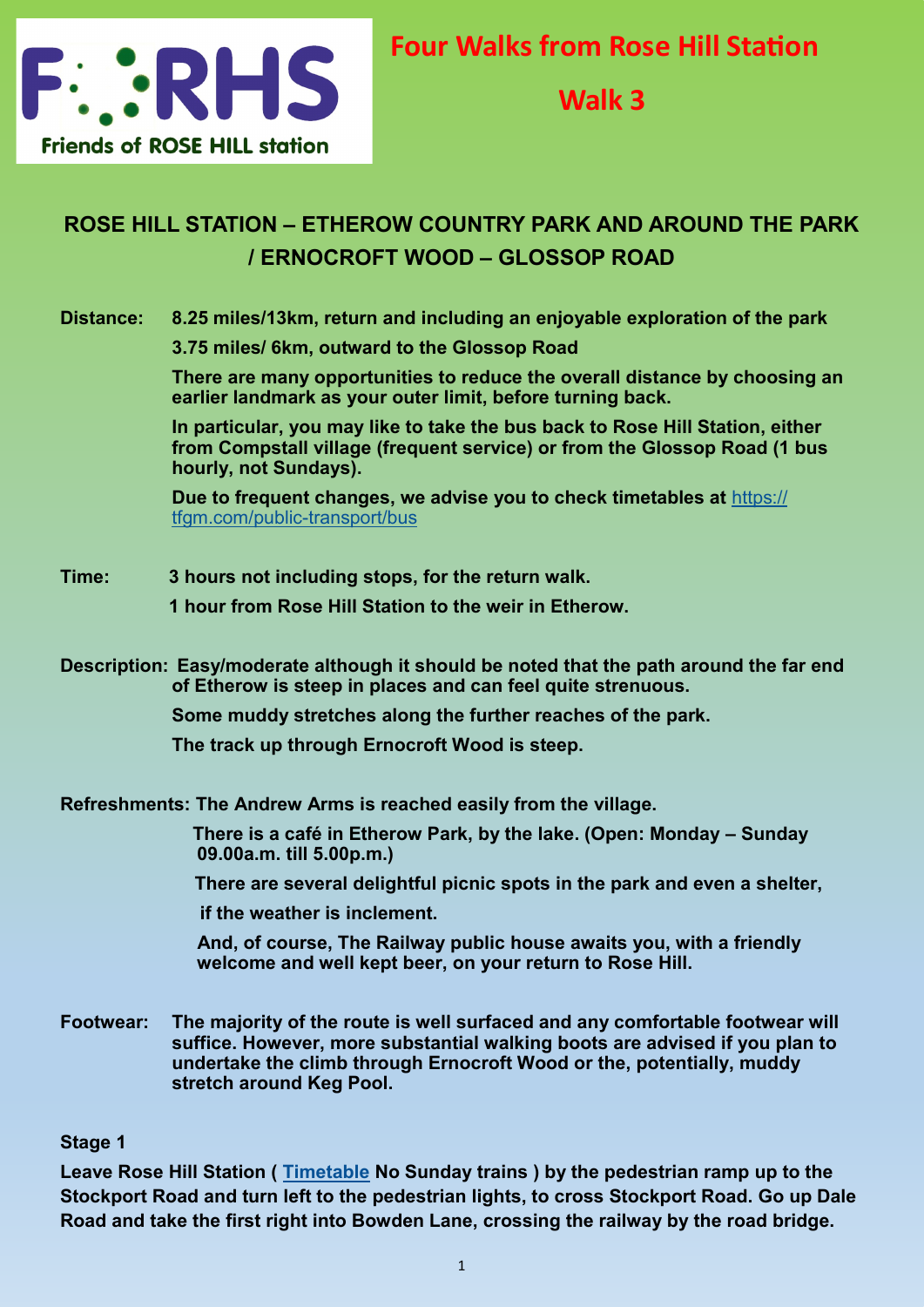

**Walk 3**

# **ROSE HILL STATION – ETHEROW COUNTRY PARK AND AROUND THE PARK / ERNOCROFT WOOD – GLOSSOP ROAD**

# **Distance: 8.25 miles/13km, return and including an enjoyable exploration of the park**

**3.75 miles/ 6km, outward to the Glossop Road**

**There are many opportunities to reduce the overall distance by choosing an earlier landmark as your outer limit, before turning back.** 

**In particular, you may like to take the bus back to Rose Hill Station, either from Compstall village (frequent service) or from the Glossop Road (1 bus hourly, not Sundays).** 

**Due to frequent changes, we advise you to check timetables at** [https://](https://tfgm.com/public-transport/bus) [tfgm.com/public](https://tfgm.com/public-transport/bus)-transport/bus

## **Time: 3 hours not including stops, for the return walk.**

 **1 hour from Rose Hill Station to the weir in Etherow.**

**Description: Easy/moderate although it should be noted that the path around the far end of Etherow is steep in places and can feel quite strenuous.**

**Some muddy stretches along the further reaches of the park.**

**The track up through Ernocroft Wood is steep.**

**Refreshments: The Andrew Arms is reached easily from the village.**

 **There is a café in Etherow Park, by the lake. (Open: Monday – Sunday 09.00a.m. till 5.00p.m.)**

 **There are several delightful picnic spots in the park and even a shelter,** 

 **if the weather is inclement.** 

**And, of course, The Railway public house awaits you, with a friendly welcome and well kept beer, on your return to Rose Hill.**

**Footwear: The majority of the route is well surfaced and any comfortable footwear will suffice. However, more substantial walking boots are advised if you plan to undertake the climb through Ernocroft Wood or the, potentially, muddy stretch around Keg Pool.**

## **Stage 1**

**Leave Rose Hill Station ( [Timetable](https://tfgm.com/public-transport/train/stations/rose-hill-marple-rail) No Sunday trains ) by the pedestrian ramp up to the Stockport Road and turn left to the pedestrian lights, to cross Stockport Road. Go up Dale Road and take the first right into Bowden Lane, crossing the railway by the road bridge.**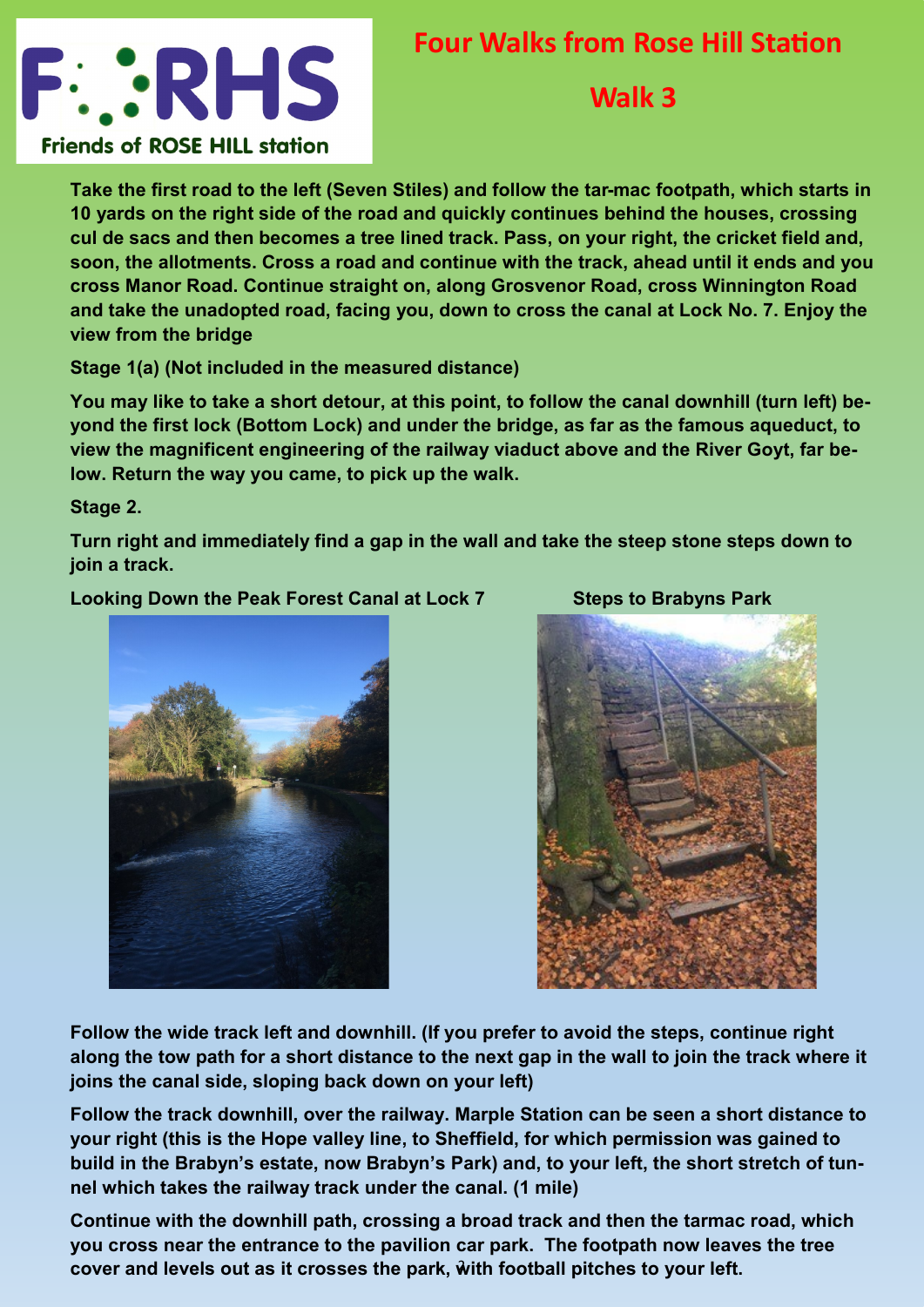

# **Four Walks from Rose Hill Station**

# **Walk 3**

**Take the first road to the left (Seven Stiles) and follow the tar-mac footpath, which starts in 10 yards on the right side of the road and quickly continues behind the houses, crossing cul de sacs and then becomes a tree lined track. Pass, on your right, the cricket field and, soon, the allotments. Cross a road and continue with the track, ahead until it ends and you cross Manor Road. Continue straight on, along Grosvenor Road, cross Winnington Road and take the unadopted road, facing you, down to cross the canal at Lock No. 7. Enjoy the view from the bridge** 

**Stage 1(a) (Not included in the measured distance)** 

**You may like to take a short detour, at this point, to follow the canal downhill (turn left) beyond the first lock (Bottom Lock) and under the bridge, as far as the famous aqueduct, to view the magnificent engineering of the railway viaduct above and the River Goyt, far below. Return the way you came, to pick up the walk.**

**Stage 2.** 

**Turn right and immediately find a gap in the wall and take the steep stone steps down to join a track.** 

Looking Down the Peak Forest Canal at Lock 7 Steps to Brabyns Park





**Follow the wide track left and downhill. (If you prefer to avoid the steps, continue right along the tow path for a short distance to the next gap in the wall to join the track where it joins the canal side, sloping back down on your left)** 

**Follow the track downhill, over the railway. Marple Station can be seen a short distance to your right (this is the Hope valley line, to Sheffield, for which permission was gained to build in the Brabyn's estate, now Brabyn's Park) and, to your left, the short stretch of tunnel which takes the railway track under the canal. (1 mile)**

2 **cover and levels out as it crosses the park, with football pitches to your left.Continue with the downhill path, crossing a broad track and then the tarmac road, which you cross near the entrance to the pavilion car park. The footpath now leaves the tree**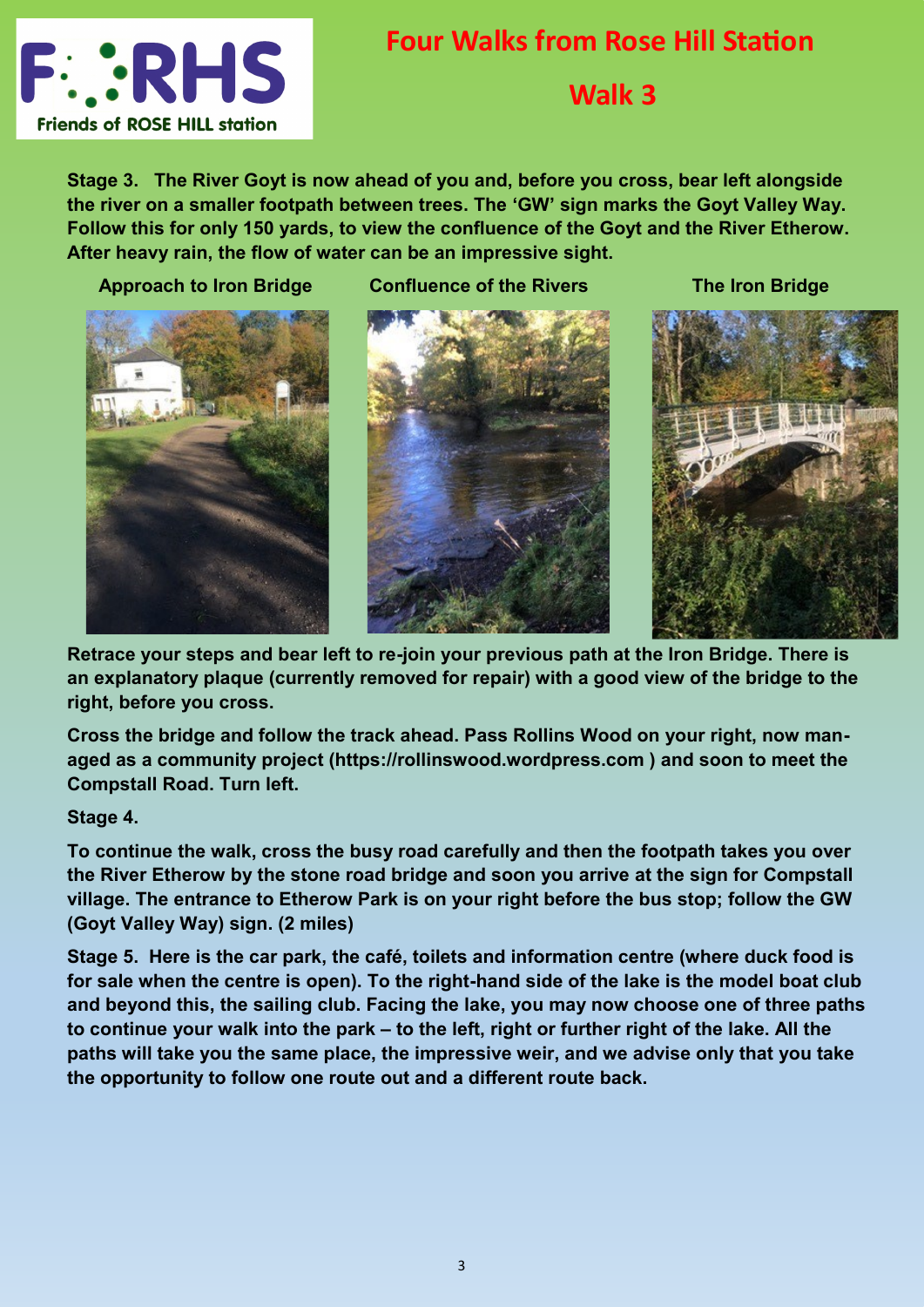

# **Four Walks from Rose Hill Station Walk 3**

**Stage 3. The River Goyt is now ahead of you and, before you cross, bear left alongside the river on a smaller footpath between trees. The 'GW' sign marks the Goyt Valley Way. Follow this for only 150 yards, to view the confluence of the Goyt and the River Etherow. After heavy rain, the flow of water can be an impressive sight.**



 **Approach to Iron Bridge Confluence of the Rivers The Iron Bridge** 





**Retrace your steps and bear left to re-join your previous path at the Iron Bridge. There is an explanatory plaque (currently removed for repair) with a good view of the bridge to the right, before you cross.**

**Cross the bridge and follow the track ahead. Pass Rollins Wood on your right, now managed as a community project (https://rollinswood.wordpress.com ) and soon to meet the Compstall Road. Turn left.**

**Stage 4.** 

**To continue the walk, cross the busy road carefully and then the footpath takes you over the River Etherow by the stone road bridge and soon you arrive at the sign for Compstall village. The entrance to Etherow Park is on your right before the bus stop; follow the GW (Goyt Valley Way) sign. (2 miles)**

**Stage 5. Here is the car park, the café, toilets and information centre (where duck food is for sale when the centre is open). To the right-hand side of the lake is the model boat club and beyond this, the sailing club. Facing the lake, you may now choose one of three paths to continue your walk into the park – to the left, right or further right of the lake. All the paths will take you the same place, the impressive weir, and we advise only that you take the opportunity to follow one route out and a different route back.**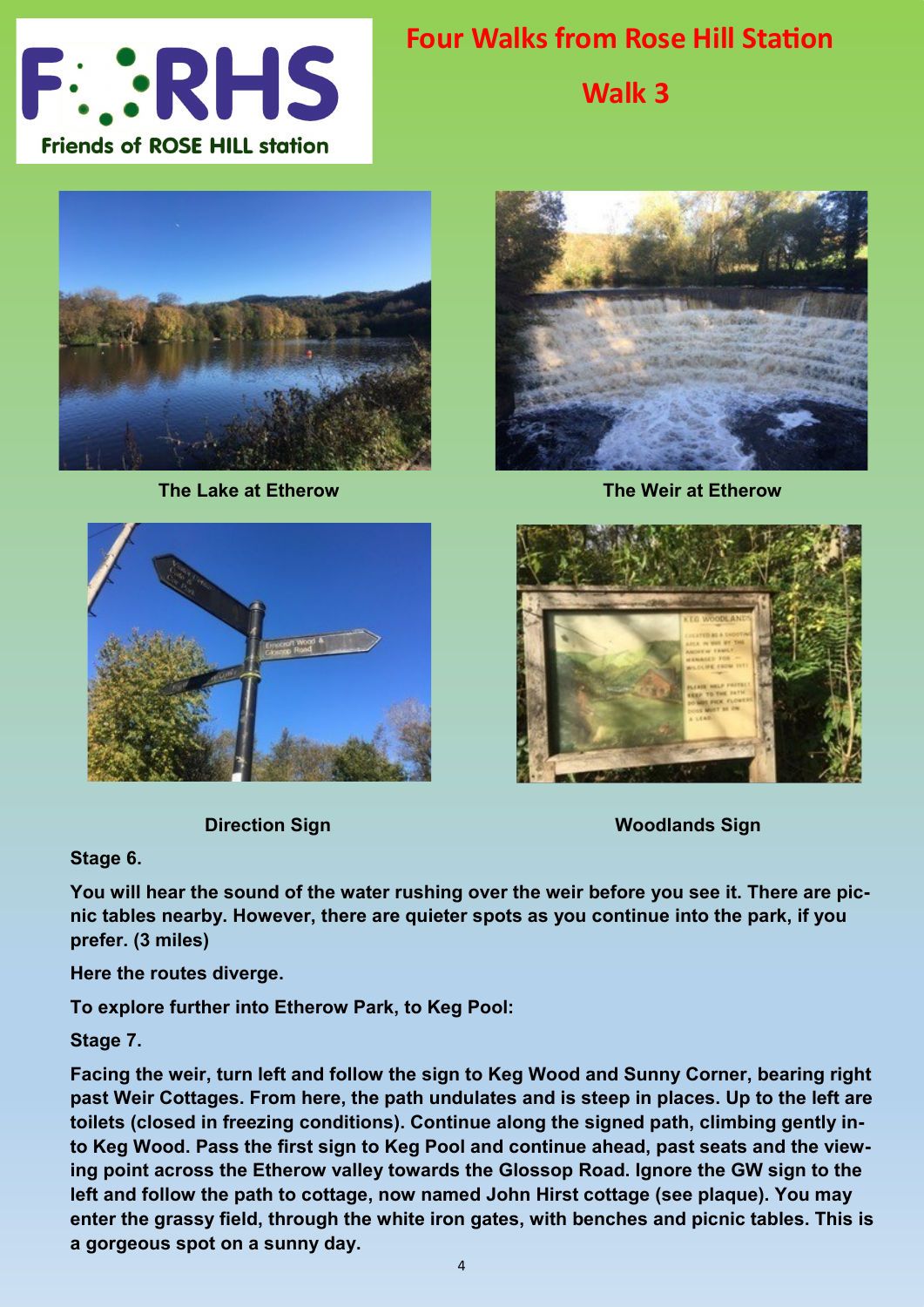

**Walk 3**



 **The Lake at Etherow The Weir at Etherow**





**Direction Sign Woodlands Sign Woodlands Sign Woodlands Sign Woodlands Sign Woodlands Sign Woodlands Sign Woodlands Sign Woodlands Sign Woodlands Sign Woodlands Sign Woodlands Sign Woodlands Sign Woodlands Sign Woodlands S** 

**Stage 6.**

**You will hear the sound of the water rushing over the weir before you see it. There are picnic tables nearby. However, there are quieter spots as you continue into the park, if you prefer. (3 miles)**

**Here the routes diverge.** 

**To explore further into Etherow Park, to Keg Pool:**

**Stage 7.** 

**Facing the weir, turn left and follow the sign to Keg Wood and Sunny Corner, bearing right past Weir Cottages. From here, the path undulates and is steep in places. Up to the left are toilets (closed in freezing conditions). Continue along the signed path, climbing gently into Keg Wood. Pass the first sign to Keg Pool and continue ahead, past seats and the viewing point across the Etherow valley towards the Glossop Road. Ignore the GW sign to the left and follow the path to cottage, now named John Hirst cottage (see plaque). You may enter the grassy field, through the white iron gates, with benches and picnic tables. This is a gorgeous spot on a sunny day.**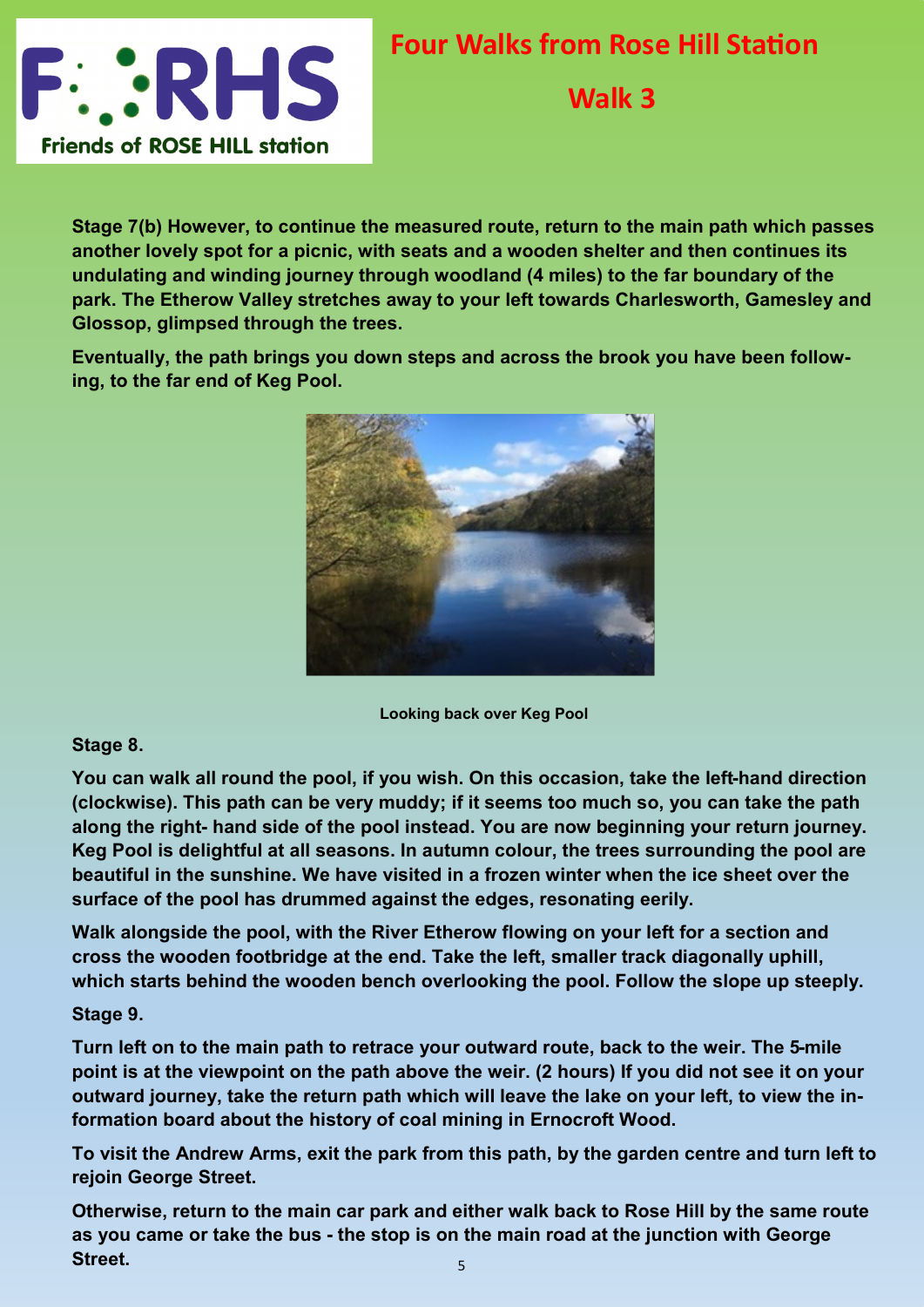

**Walk 3**

**Stage 7(b) However, to continue the measured route, return to the main path which passes another lovely spot for a picnic, with seats and a wooden shelter and then continues its undulating and winding journey through woodland (4 miles) to the far boundary of the park. The Etherow Valley stretches away to your left towards Charlesworth, Gamesley and Glossop, glimpsed through the trees.**

**Eventually, the path brings you down steps and across the brook you have been following, to the far end of Keg Pool.**



**Looking back over Keg Pool**

## **Stage 8.**

**You can walk all round the pool, if you wish. On this occasion, take the left-hand direction (clockwise). This path can be very muddy; if it seems too much so, you can take the path along the right- hand side of the pool instead. You are now beginning your return journey. Keg Pool is delightful at all seasons. In autumn colour, the trees surrounding the pool are beautiful in the sunshine. We have visited in a frozen winter when the ice sheet over the surface of the pool has drummed against the edges, resonating eerily.**

**Walk alongside the pool, with the River Etherow flowing on your left for a section and cross the wooden footbridge at the end. Take the left, smaller track diagonally uphill, which starts behind the wooden bench overlooking the pool. Follow the slope up steeply.**

## **Stage 9.**

**Turn left on to the main path to retrace your outward route, back to the weir. The 5-mile point is at the viewpoint on the path above the weir. (2 hours) If you did not see it on your outward journey, take the return path which will leave the lake on your left, to view the information board about the history of coal mining in Ernocroft Wood.**

**To visit the Andrew Arms, exit the park from this path, by the garden centre and turn left to rejoin George Street.**

5 **Otherwise, return to the main car park and either walk back to Rose Hill by the same route as you came or take the bus - the stop is on the main road at the junction with George Street.**